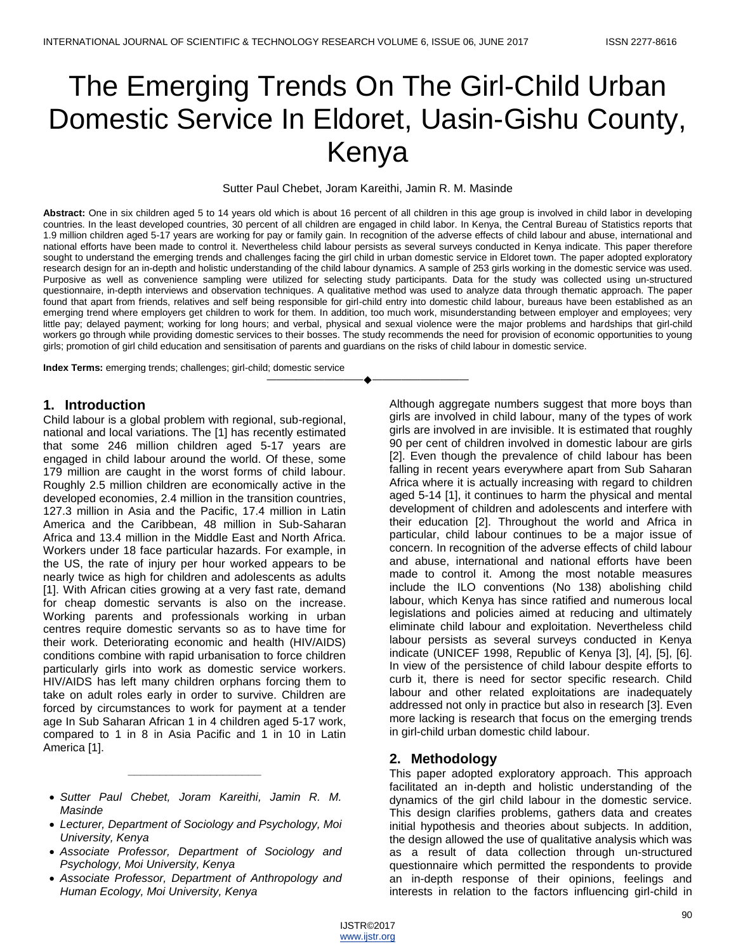# The Emerging Trends On The Girl-Child Urban Domestic Service In Eldoret, Uasin-Gishu County, Kenya

Sutter Paul Chebet, Joram Kareithi, Jamin R. M. Masinde

**Abstract:** One in six children aged 5 to 14 years old which is about 16 percent of all children in this age group is involved in child labor in developing countries. In the least developed countries, 30 percent of all children are engaged in child labor. In Kenya, the Central Bureau of Statistics reports that 1.9 million children aged 5-17 years are working for pay or family gain. In recognition of the adverse effects of child labour and abuse, international and national efforts have been made to control it. Nevertheless child labour persists as several surveys conducted in Kenya indicate. This paper therefore sought to understand the emerging trends and challenges facing the girl child in urban domestic service in Eldoret town. The paper adopted exploratory research design for an in-depth and holistic understanding of the child labour dynamics. A sample of 253 girls working in the domestic service was used. Purposive as well as convenience sampling were utilized for selecting study participants. Data for the study was collected using un-structured questionnaire, in-depth interviews and observation techniques. A qualitative method was used to analyze data through thematic approach. The paper found that apart from friends, relatives and self being responsible for girl-child entry into domestic child labour, bureaus have been established as an emerging trend where employers get children to work for them. In addition, too much work, misunderstanding between employer and employees; very little pay; delayed payment; working for long hours; and verbal, physical and sexual violence were the major problems and hardships that girl-child workers go through while providing domestic services to their bosses. The study recommends the need for provision of economic opportunities to young girls; promotion of girl child education and sensitisation of parents and guardians on the risks of child labour in domestic service.

————————————————————

**Index Terms:** emerging trends; challenges; girl-child; domestic service

#### **1. Introduction**

Child labour is a global problem with regional, sub-regional, national and local variations. The [1] has recently estimated that some 246 million children aged 5-17 years are engaged in child labour around the world. Of these, some 179 million are caught in the worst forms of child labour. Roughly 2.5 million children are economically active in the developed economies, 2.4 million in the transition countries, 127.3 million in Asia and the Pacific, 17.4 million in Latin America and the Caribbean, 48 million in Sub-Saharan Africa and 13.4 million in the Middle East and North Africa. Workers under 18 face particular hazards. For example, in the US, the rate of injury per hour worked appears to be nearly twice as high for children and adolescents as adults [1]. With African cities growing at a very fast rate, demand for cheap domestic servants is also on the increase. Working parents and professionals working in urban centres require domestic servants so as to have time for their work. Deteriorating economic and health (HIV/AIDS) conditions combine with rapid urbanisation to force children particularly girls into work as domestic service workers. HIV/AIDS has left many children orphans forcing them to take on adult roles early in order to survive. Children are forced by circumstances to work for payment at a tender age In Sub Saharan African 1 in 4 children aged 5-17 work, compared to 1 in 8 in Asia Pacific and 1 in 10 in Latin America [1].

 *Sutter Paul Chebet, Joram Kareithi, Jamin R. M. Masinde*

*\_\_\_\_\_\_\_\_\_\_\_\_\_\_\_\_\_\_\_\_\_*

- *Lecturer, Department of Sociology and Psychology, Moi University, Kenya*
- *Associate Professor, Department of Sociology and Psychology, Moi University, Kenya*
- *Associate Professor, Department of Anthropology and Human Ecology, Moi University, Kenya*

Although aggregate numbers suggest that more boys than girls are involved in child labour, many of the types of work girls are involved in are invisible. It is estimated that roughly 90 per cent of children involved in domestic labour are girls [2]. Even though the prevalence of child labour has been falling in recent years everywhere apart from Sub Saharan Africa where it is actually increasing with regard to children aged 5-14 [1], it continues to harm the physical and mental development of children and adolescents and interfere with their education [2]. Throughout the world and Africa in particular, child labour continues to be a major issue of concern. In recognition of the adverse effects of child labour and abuse, international and national efforts have been made to control it. Among the most notable measures include the ILO conventions (No 138) abolishing child labour, which Kenya has since ratified and numerous local legislations and policies aimed at reducing and ultimately eliminate child labour and exploitation. Nevertheless child labour persists as several surveys conducted in Kenya indicate (UNICEF 1998, Republic of Kenya [3], [4], [5], [6]. In view of the persistence of child labour despite efforts to curb it, there is need for sector specific research. Child labour and other related exploitations are inadequately addressed not only in practice but also in research [3]. Even more lacking is research that focus on the emerging trends in girl-child urban domestic child labour.

#### **2. Methodology**

This paper adopted exploratory approach. This approach facilitated an in-depth and holistic understanding of the dynamics of the girl child labour in the domestic service. This design clarifies problems, gathers data and creates initial hypothesis and theories about subjects. In addition, the design allowed the use of qualitative analysis which was as a result of data collection through un-structured questionnaire which permitted the respondents to provide an in-depth response of their opinions, feelings and interests in relation to the factors influencing girl-child in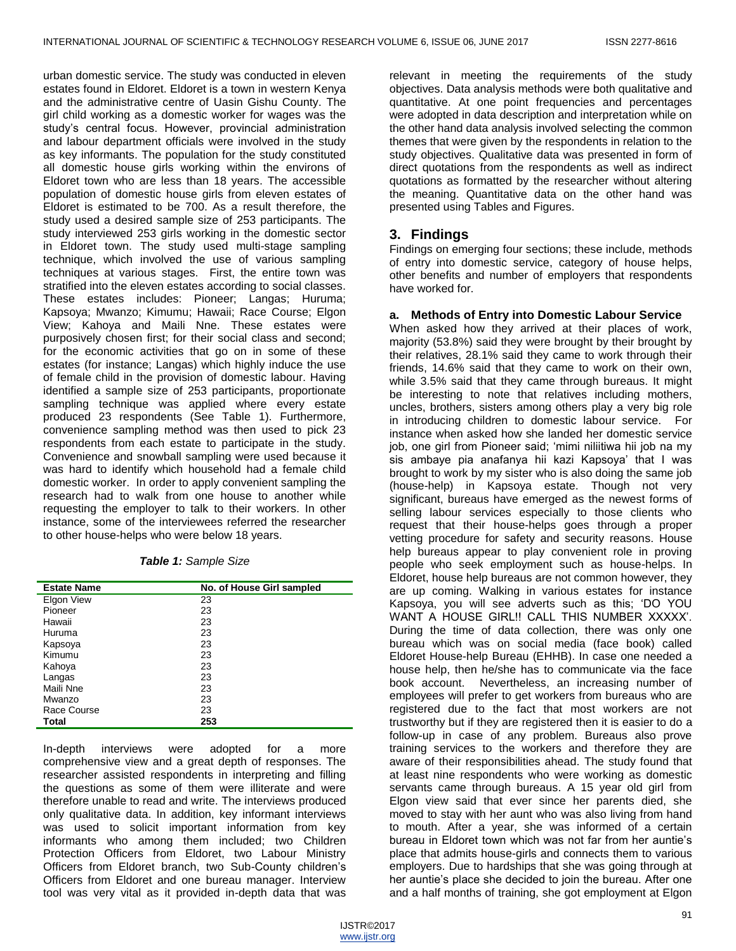urban domestic service. The study was conducted in eleven estates found in Eldoret. Eldoret is a town in western Kenya and the administrative centre of Uasin Gishu County. The girl child working as a domestic worker for wages was the study's central focus. However, provincial administration and labour department officials were involved in the study as key informants. The population for the study constituted all domestic house girls working within the environs of Eldoret town who are less than 18 years. The accessible population of domestic house girls from eleven estates of Eldoret is estimated to be 700. As a result therefore, the study used a desired sample size of 253 participants. The study interviewed 253 girls working in the domestic sector in Eldoret town. The study used multi-stage sampling technique, which involved the use of various sampling techniques at various stages. First, the entire town was stratified into the eleven estates according to social classes. These estates includes: Pioneer; Langas; Huruma; Kapsoya; Mwanzo; Kimumu; Hawaii; Race Course; Elgon View; Kahoya and Maili Nne. These estates were purposively chosen first; for their social class and second; for the economic activities that go on in some of these estates (for instance; Langas) which highly induce the use of female child in the provision of domestic labour. Having identified a sample size of 253 participants, proportionate sampling technique was applied where every estate produced 23 respondents (See Table 1). Furthermore, convenience sampling method was then used to pick 23 respondents from each estate to participate in the study. Convenience and snowball sampling were used because it was hard to identify which household had a female child domestic worker. In order to apply convenient sampling the research had to walk from one house to another while requesting the employer to talk to their workers. In other instance, some of the interviewees referred the researcher to other house-helps who were below 18 years.

| Table 1: Sample Size |  |  |
|----------------------|--|--|
|                      |  |  |

| <b>Estate Name</b> | No. of House Girl sampled |
|--------------------|---------------------------|
| Elgon View         | 23                        |
| Pioneer            | 23                        |
| Hawaii             | 23                        |
| Huruma             | 23                        |
| Kapsoya            | 23                        |
| Kimumu             | 23                        |
| Kahoya             | 23                        |
| Langas             | 23                        |
| Maili Nne          | 23                        |
| Mwanzo             | 23                        |
| Race Course        | 23                        |
| Total              | 253                       |

In-depth interviews were adopted for a more comprehensive view and a great depth of responses. The researcher assisted respondents in interpreting and filling the questions as some of them were illiterate and were therefore unable to read and write. The interviews produced only qualitative data. In addition, key informant interviews was used to solicit important information from key informants who among them included; two Children Protection Officers from Eldoret, two Labour Ministry Officers from Eldoret branch, two Sub-County children's Officers from Eldoret and one bureau manager. Interview tool was very vital as it provided in-depth data that was

relevant in meeting the requirements of the study objectives. Data analysis methods were both qualitative and quantitative. At one point frequencies and percentages were adopted in data description and interpretation while on the other hand data analysis involved selecting the common themes that were given by the respondents in relation to the study objectives. Qualitative data was presented in form of direct quotations from the respondents as well as indirect quotations as formatted by the researcher without altering the meaning. Quantitative data on the other hand was presented using Tables and Figures.

## **3. Findings**

Findings on emerging four sections; these include, methods of entry into domestic service, category of house helps, other benefits and number of employers that respondents have worked for.

#### **a. Methods of Entry into Domestic Labour Service**

When asked how they arrived at their places of work, majority (53.8%) said they were brought by their brought by their relatives, 28.1% said they came to work through their friends, 14.6% said that they came to work on their own, while 3.5% said that they came through bureaus. It might be interesting to note that relatives including mothers, uncles, brothers, sisters among others play a very big role in introducing children to domestic labour service. For instance when asked how she landed her domestic service job, one girl from Pioneer said; 'mimi niliitiwa hii job na my sis ambaye pia anafanya hii kazi Kapsoya' that I was brought to work by my sister who is also doing the same job (house-help) in Kapsoya estate. Though not very significant, bureaus have emerged as the newest forms of selling labour services especially to those clients who request that their house-helps goes through a proper vetting procedure for safety and security reasons. House help bureaus appear to play convenient role in proving people who seek employment such as house-helps. In Eldoret, house help bureaus are not common however, they are up coming. Walking in various estates for instance Kapsoya, you will see adverts such as this; 'DO YOU WANT A HOUSE GIRL!! CALL THIS NUMBER XXXXX'. During the time of data collection, there was only one bureau which was on social media (face book) called Eldoret House-help Bureau (EHHB). In case one needed a house help, then he/she has to communicate via the face book account. Nevertheless, an increasing number of employees will prefer to get workers from bureaus who are registered due to the fact that most workers are not trustworthy but if they are registered then it is easier to do a follow-up in case of any problem. Bureaus also prove training services to the workers and therefore they are aware of their responsibilities ahead. The study found that at least nine respondents who were working as domestic servants came through bureaus. A 15 year old girl from Elgon view said that ever since her parents died, she moved to stay with her aunt who was also living from hand to mouth. After a year, she was informed of a certain bureau in Eldoret town which was not far from her auntie's place that admits house-girls and connects them to various employers. Due to hardships that she was going through at her auntie's place she decided to join the bureau. After one and a half months of training, she got employment at Elgon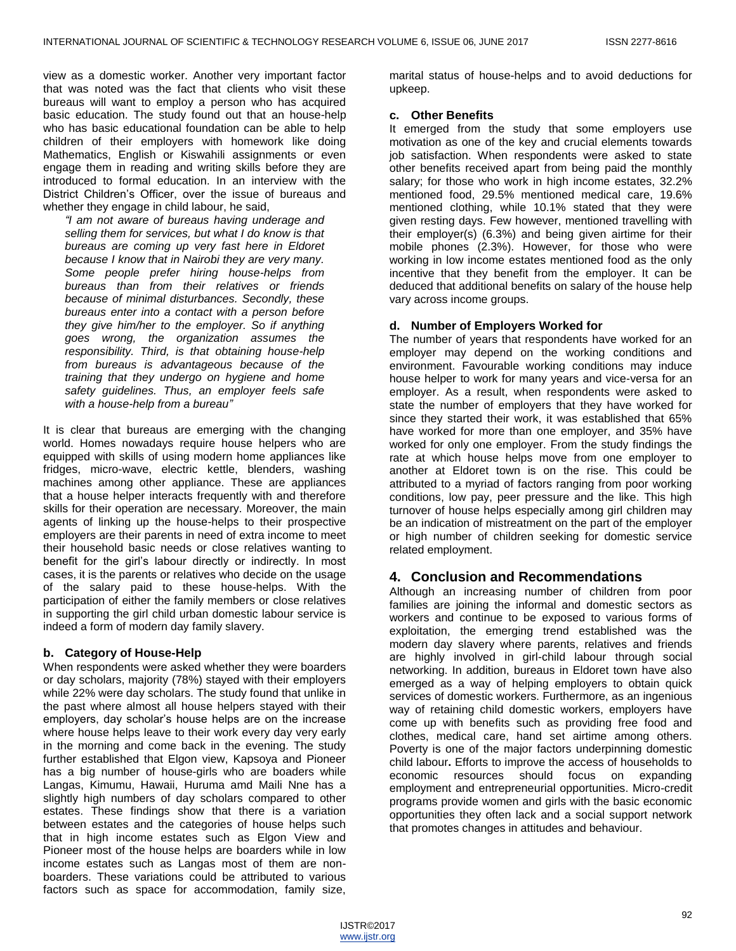view as a domestic worker. Another very important factor that was noted was the fact that clients who visit these bureaus will want to employ a person who has acquired basic education. The study found out that an house-help who has basic educational foundation can be able to help children of their employers with homework like doing Mathematics, English or Kiswahili assignments or even engage them in reading and writing skills before they are introduced to formal education. In an interview with the District Children's Officer, over the issue of bureaus and whether they engage in child labour, he said,

*"I am not aware of bureaus having underage and selling them for services, but what I do know is that bureaus are coming up very fast here in Eldoret because I know that in Nairobi they are very many. Some people prefer hiring house-helps from bureaus than from their relatives or friends because of minimal disturbances. Secondly, these bureaus enter into a contact with a person before they give him/her to the employer. So if anything goes wrong, the organization assumes the responsibility. Third, is that obtaining house-help from bureaus is advantageous because of the training that they undergo on hygiene and home safety guidelines. Thus, an employer feels safe with a house-help from a bureau"*

It is clear that bureaus are emerging with the changing world. Homes nowadays require house helpers who are equipped with skills of using modern home appliances like fridges, micro-wave, electric kettle, blenders, washing machines among other appliance. These are appliances that a house helper interacts frequently with and therefore skills for their operation are necessary. Moreover, the main agents of linking up the house-helps to their prospective employers are their parents in need of extra income to meet their household basic needs or close relatives wanting to benefit for the girl's labour directly or indirectly. In most cases, it is the parents or relatives who decide on the usage of the salary paid to these house-helps. With the participation of either the family members or close relatives in supporting the girl child urban domestic labour service is indeed a form of modern day family slavery.

#### **b. Category of House-Help**

When respondents were asked whether they were boarders or day scholars, majority (78%) stayed with their employers while 22% were day scholars. The study found that unlike in the past where almost all house helpers stayed with their employers, day scholar's house helps are on the increase where house helps leave to their work every day very early in the morning and come back in the evening. The study further established that Elgon view, Kapsoya and Pioneer has a big number of house-girls who are boaders while Langas, Kimumu, Hawaii, Huruma amd Maili Nne has a slightly high numbers of day scholars compared to other estates. These findings show that there is a variation between estates and the categories of house helps such that in high income estates such as Elgon View and Pioneer most of the house helps are boarders while in low income estates such as Langas most of them are nonboarders. These variations could be attributed to various factors such as space for accommodation, family size,

marital status of house-helps and to avoid deductions for upkeep.

#### **c. Other Benefits**

It emerged from the study that some employers use motivation as one of the key and crucial elements towards job satisfaction. When respondents were asked to state other benefits received apart from being paid the monthly salary; for those who work in high income estates, 32.2% mentioned food, 29.5% mentioned medical care, 19.6% mentioned clothing, while 10.1% stated that they were given resting days. Few however, mentioned travelling with their employer(s) (6.3%) and being given airtime for their mobile phones (2.3%). However, for those who were working in low income estates mentioned food as the only incentive that they benefit from the employer. It can be deduced that additional benefits on salary of the house help vary across income groups.

#### **d. Number of Employers Worked for**

The number of years that respondents have worked for an employer may depend on the working conditions and environment. Favourable working conditions may induce house helper to work for many years and vice-versa for an employer. As a result, when respondents were asked to state the number of employers that they have worked for since they started their work, it was established that 65% have worked for more than one employer, and 35% have worked for only one employer. From the study findings the rate at which house helps move from one employer to another at Eldoret town is on the rise. This could be attributed to a myriad of factors ranging from poor working conditions, low pay, peer pressure and the like. This high turnover of house helps especially among girl children may be an indication of mistreatment on the part of the employer or high number of children seeking for domestic service related employment.

### **4. Conclusion and Recommendations**

Although an increasing number of children from poor families are joining the informal and domestic sectors as workers and continue to be exposed to various forms of exploitation, the emerging trend established was the modern day slavery where parents, relatives and friends are highly involved in girl-child labour through social networking. In addition, bureaus in Eldoret town have also emerged as a way of helping employers to obtain quick services of domestic workers. Furthermore, as an ingenious way of retaining child domestic workers, employers have come up with benefits such as providing free food and clothes, medical care, hand set airtime among others. Poverty is one of the major factors underpinning domestic child labour**.** Efforts to improve the access of households to economic resources should focus on expanding employment and entrepreneurial opportunities. Micro-credit programs provide women and girls with the basic economic opportunities they often lack and a social support network that promotes changes in attitudes and behaviour.